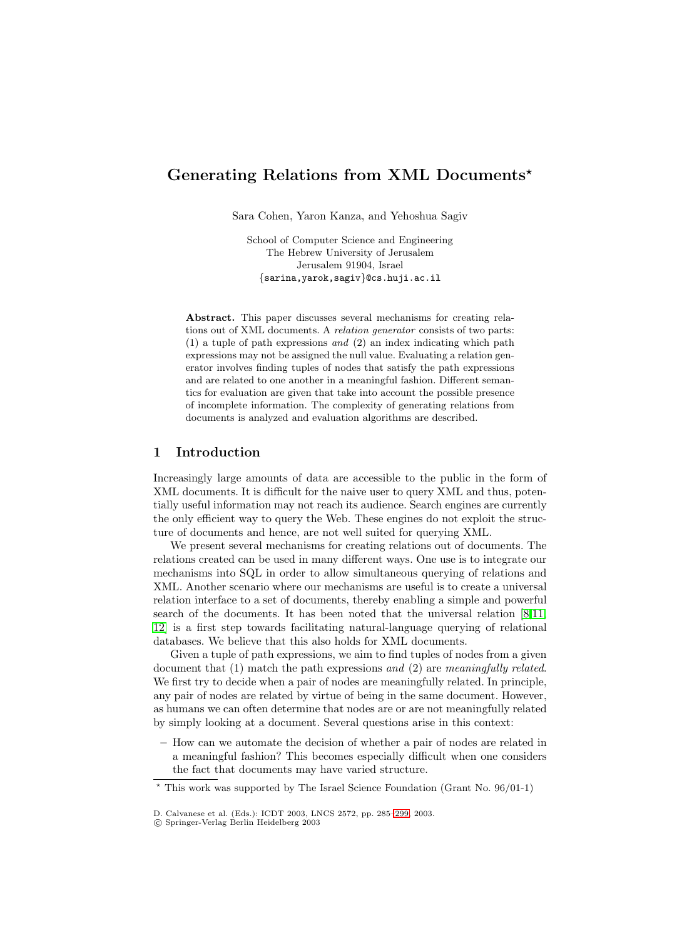# **Generating Relations from XML Documents**

Sara Cohen, Yaron Kanza, and Yehoshua Sagiv

School of Computer Science and Engineering The Hebrew University of Jerusalem Jerusalem 91904, Israel {sarina,yarok,sagiv}@cs.huji.ac.il

**Abstract.** This paper discusses several mechanisms for creating relations out of XML documents. A relation generator consists of two parts: (1) a tuple of path expressions and (2) an index indicating which path expressions may not be assigned the null value. Evaluating a relation generator involves finding tuples of nodes that satisfy the path expressions and are related to one another in a meaningful fashion. Different semantics for evaluation are given that take into account the possible presence of incomplete information. The complexity of generating relations from documents is analyzed and evaluation algorithms are described.

## **1 Introduction**

Increasingly large amounts of data are accessible to the public in the form of XML documents. It is difficult for the naive user to query XML and thus, potentially useful information may not reach its audience. Search engines are currently the only efficient way to query the Web. These engines do not exploit the structure of documents and hence, are not well suited for querying XML.

We present several mechanisms for creating relations out of documents. The relations created can be used in many different ways. One use is to integrate our mechanisms into SQL in order to allow simultaneous querying of relations and XML. Another scenario where our mechanisms are useful is to create a universal relation interface to a set of documents, thereby enabling a simple and powerful search of the documents. It has been noted that the universal relation [\[8,11,](#page-14-0) [12\]](#page-14-0) is a first step towards facilitating natural-language querying of relational databases. We believe that this also holds for XML documents.

Given a tuple of path expressions, we aim to find tuples of nodes from a given document that (1) match the path expressions *and* (2) are *meaningfully related*. We first try to decide when a pair of nodes are meaningfully related. In principle, any pair of nodes are related by virtue of being in the same document. However, as humans we can often determine that nodes are or are not meaningfully related by simply looking at a document. Several questions arise in this context:

**–** How can we automate the decision of whether a pair of nodes are related in a meaningful fashion? This becomes especially difficult when one considers the fact that documents may have varied structure.

 $^\star$  This work was supported by The Israel Science Foundation (Grant No. 96/01-1)

D. Calvanese et al. (Eds.): ICDT 2003, LNCS 2572, pp. 285[–299,](#page-13-0) 2003.

c Springer-Verlag Berlin Heidelberg 2003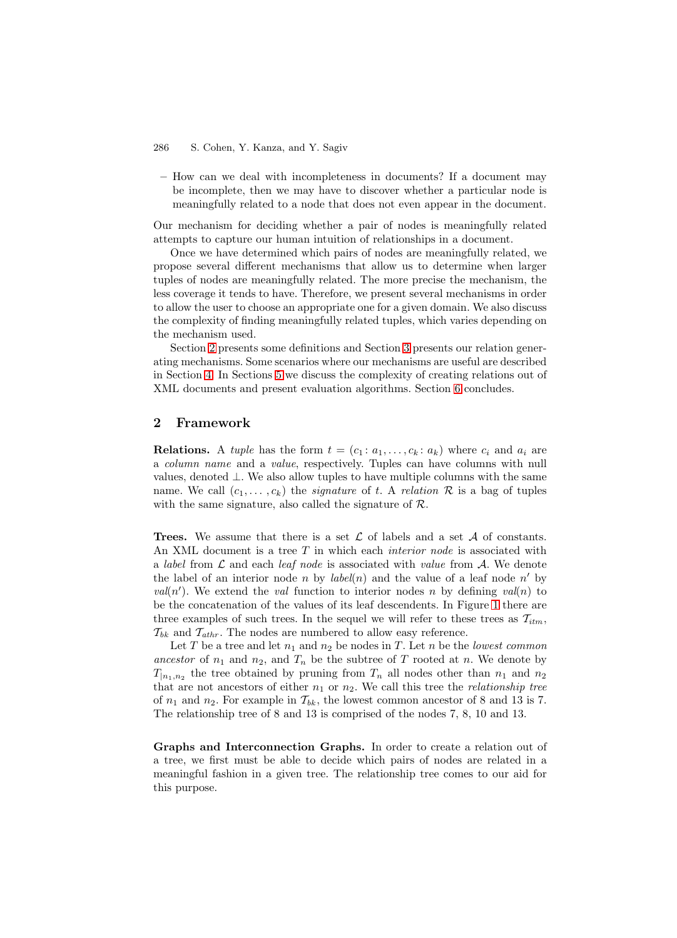<span id="page-1-0"></span>**–** How can we deal with incompleteness in documents? If a document may be incomplete, then we may have to discover whether a particular node is meaningfully related to a node that does not even appear in the document.

Our mechanism for deciding whether a pair of nodes is meaningfully related attempts to capture our human intuition of relationships in a document.

Once we have determined which pairs of nodes are meaningfully related, we propose several different mechanisms that allow us to determine when larger tuples of nodes are meaningfully related. The more precise the mechanism, the less coverage it tends to have. Therefore, we present several mechanisms in order to allow the user to choose an appropriate one for a given domain. We also discuss the complexity of finding meaningfully related tuples, which varies depending on the mechanism used.

Section 2 presents some definitions and Section [3](#page-3-0) presents our relation generating mechanisms. Some scenarios where our mechanisms are useful are described in Section [4.](#page-6-0) In Sections [5](#page-7-0) we discuss the complexity of creating relations out of XML documents and present evaluation algorithms. Section [6](#page-13-0) concludes.

## **2 Framework**

**Relations.** A *tuple* has the form  $t = (c_1 : a_1, \ldots, c_k : a_k)$  where  $c_i$  and  $a_i$  are a *column name* and a *value*, respectively. Tuples can have columns with null values, denoted  $\perp$ . We also allow tuples to have multiple columns with the same name. We call  $(c_1,\ldots,c_k)$  the *signature* of t. A *relation*  $\mathcal R$  is a bag of tuples with the same signature, also called the signature of  $\mathcal{R}$ .

**Trees.** We assume that there is a set  $\mathcal L$  of labels and a set  $\mathcal A$  of constants. An XML document is a tree T in which each *interior node* is associated with a *label* from L and each *leaf node* is associated with *value* from A. We denote the label of an interior node  $n$  by  $label(n)$  and the value of a leaf node  $n'$  by  $val(n')$ . We extend the *val* function to interior nodes n by defining  $val(n)$  to be the concatenation of the values of its leaf descendents. In Figure [1](#page-2-0) there are three examples of such trees. In the sequel we will refer to these trees as  $T_{itm}$ ,  $\mathcal{T}_{bk}$  and  $\mathcal{T}_{athr}$ . The nodes are numbered to allow easy reference.

Let T be a tree and let  $n_1$  and  $n_2$  be nodes in T. Let n be the *lowest common ancestor* of  $n_1$  and  $n_2$ , and  $T_n$  be the subtree of T rooted at n. We denote by  $T_{n_1,n_2}$  the tree obtained by pruning from  $T_n$  all nodes other than  $n_1$  and  $n_2$ that are not ancestors of either  $n_1$  or  $n_2$ . We call this tree the *relationship tree* of  $n_1$  and  $n_2$ . For example in  $\mathcal{T}_{bk}$ , the lowest common ancestor of 8 and 13 is 7. The relationship tree of 8 and 13 is comprised of the nodes 7, 8, 10 and 13.

**Graphs and Interconnection Graphs.** In order to create a relation out of a tree, we first must be able to decide which pairs of nodes are related in a meaningful fashion in a given tree. The relationship tree comes to our aid for this purpose.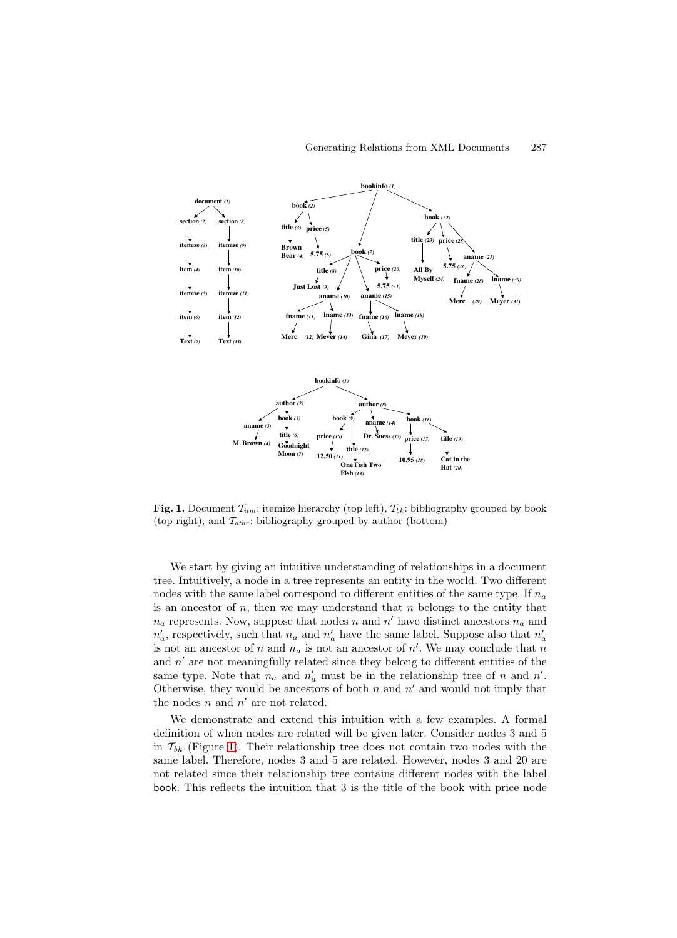<span id="page-2-0"></span>

**Fig. 1.** Document  $\mathcal{T}_{itm}$ : itemize hierarchy (top left),  $\mathcal{T}_{bk}$ : bibliography grouped by book (top right), and  $\mathcal{T}_{athr}$ : bibliography grouped by author (bottom)

We start by giving an intuitive understanding of relationships in a document tree. Intuitively, a node in a tree represents an entity in the world. Two different nodes with the same label correspond to different entities of the same type. If  $n_a$ is an ancestor of  $n$ , then we may understand that  $n$  belongs to the entity that  $n_a$  represents. Now, suppose that nodes n and n' have distinct ancestors  $n_a$  and  $n'_a$ , respectively, such that  $n_a$  and  $n'_a$  have the same label. Suppose also that  $n'_a$ is not an ancestor of n and  $n_a$  is not an ancestor of n'. We may conclude that  $n$ and  $n'$  are not meaningfully related since they belong to different entities of the same type. Note that  $n_a$  and  $n'_a$  must be in the relationship tree of n and n'. Otherwise, they would be ancestors of both  $n$  and  $n'$  and would not imply that the nodes  $n$  and  $n'$  are not related.

We demonstrate and extend this intuition with a few examples. A formal definition of when nodes are related will be given later. Consider nodes 3 and 5 in  $\mathcal{T}_{bk}$  (Figure 1). Their relationship tree does not contain two nodes with the same label. Therefore, nodes 3 and 5 are related. However, nodes 3 and 20 are not related since their relationship tree contains different nodes with the label book. This reflects the intuition that 3 is the title of the book with price node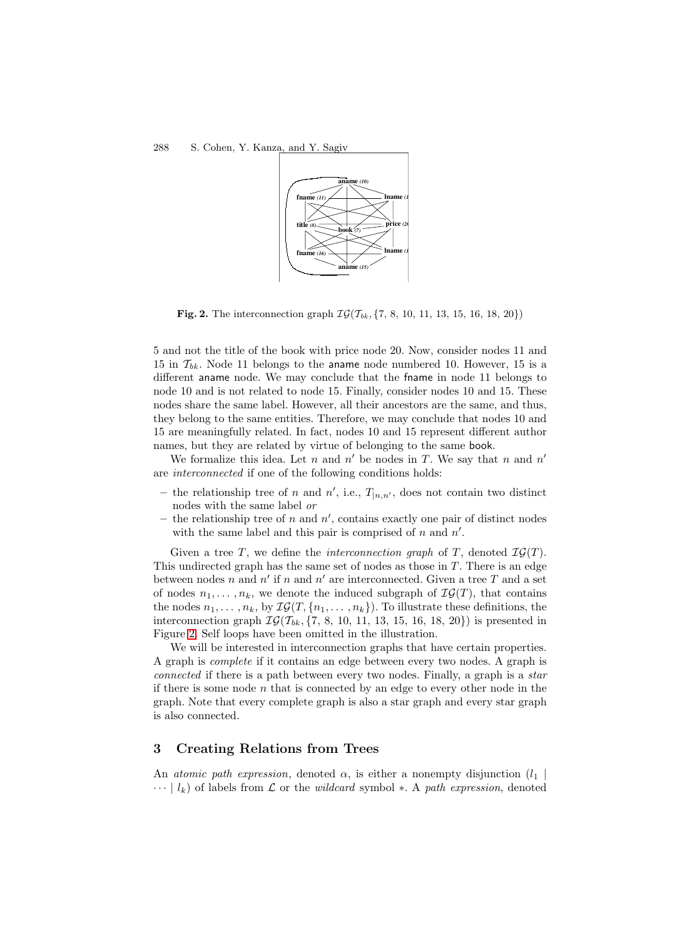<span id="page-3-0"></span>

**Fig. 2.** The interconnection graph  $IG(\mathcal{T}_{bk}, \{7, 8, 10, 11, 13, 15, 16, 18, 20\})$ 

5 and not the title of the book with price node 20. Now, consider nodes 11 and 15 in  $\mathcal{T}_{bk}$ . Node 11 belongs to the aname node numbered 10. However, 15 is a different aname node. We may conclude that the fname in node 11 belongs to node 10 and is not related to node 15. Finally, consider nodes 10 and 15. These nodes share the same label. However, all their ancestors are the same, and thus, they belong to the same entities. Therefore, we may conclude that nodes 10 and 15 are meaningfully related. In fact, nodes 10 and 15 represent different author names, but they are related by virtue of belonging to the same book.

We formalize this idea. Let n and  $n'$  be nodes in T. We say that n and  $n'$ are *interconnected* if one of the following conditions holds:

- the relationship tree of n and  $n'$ , i.e.,  $T_{|n,n'}$ , does not contain two distinct nodes with the same label *or*
- $-$  the relationship tree of n and  $n'$ , contains exactly one pair of distinct nodes with the same label and this pair is comprised of  $n$  and  $n'$ .

Given a tree T, we define the *interconnection graph* of T, denoted  $IG(T)$ . This undirected graph has the same set of nodes as those in T. There is an edge between nodes n and n' if n and n' are interconnected. Given a tree T and a set of nodes  $n_1,\ldots,n_k$ , we denote the induced subgraph of  $IG(T)$ , that contains the nodes  $n_1,\ldots,n_k$ , by  $\mathcal{IG}(T, \{n_1,\ldots,n_k\})$ . To illustrate these definitions, the interconnection graph  $IG(\mathcal{T}_{bk}, \{7, 8, 10, 11, 13, 15, 16, 18, 20\})$  is presented in Figure 2. Self loops have been omitted in the illustration.

We will be interested in interconnection graphs that have certain properties. A graph is *complete* if it contains an edge between every two nodes. A graph is *connected* if there is a path between every two nodes. Finally, a graph is a *star* if there is some node  $n$  that is connected by an edge to every other node in the graph. Note that every complete graph is also a star graph and every star graph is also connected.

#### **3 Creating Relations from Trees**

An *atomic path expression*, denoted  $\alpha$ , is either a nonempty disjunction  $(l_1 | l_2)$ ··· | lk) of labels from L or the *wildcard* symbol ∗. A *path expression*, denoted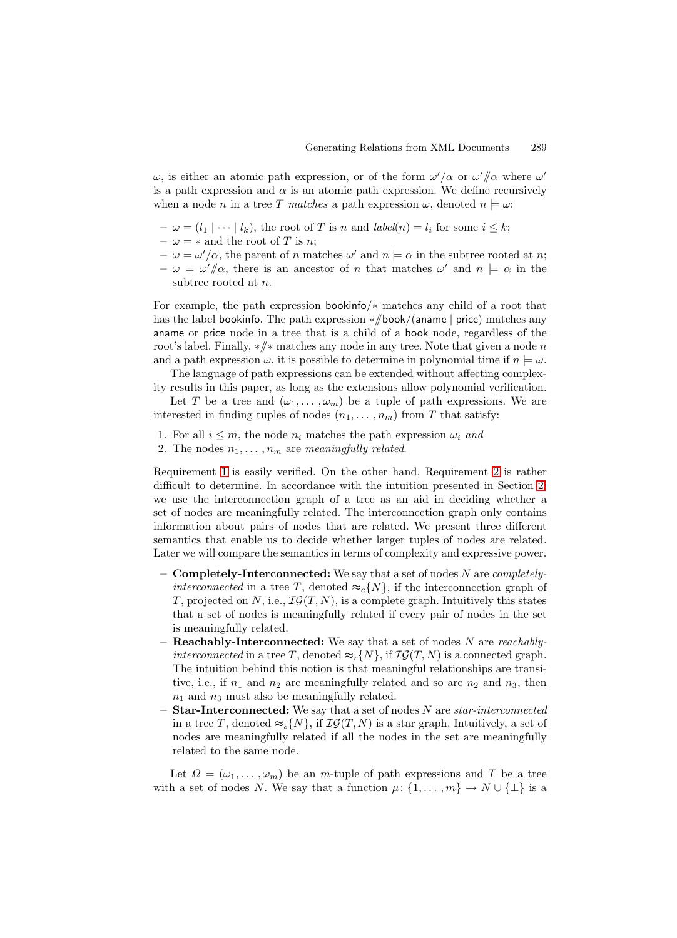$ω$ , is either an atomic path expression, or of the form  $ω'/α$  or  $ω'/α$  where  $ω'$ is a path expression and  $\alpha$  is an atomic path expression. We define recursively when a node *n* in a tree T *matches* a path expression  $\omega$ , denoted  $n \models \omega$ .

- $-\omega = (l_1 \mid \cdots \mid l_k)$ , the root of T is n and *label* $(n) = l_i$  for some  $i \leq k$ ;
- **–** ω = ∗ and the root of T is n;
- $-\omega = \omega'/\alpha$ , the parent of *n* matches  $\omega'$  and  $n \models \alpha$  in the subtree rooted at *n*;
- $-\omega = \omega'/\alpha$ , there is an ancestor of n that matches  $\omega'$  and  $n \models \alpha$  in the subtree rooted at n.

For example, the path expression bookinfo/∗ matches any child of a root that has the label bookinfo. The path expression ∗//book/(aname | price) matches any aname or price node in a tree that is a child of a book node, regardless of the root's label. Finally,  $\sqrt{x}$  matches any node in any tree. Note that given a node n and a path expression  $\omega$ , it is possible to determine in polynomial time if  $n \models \omega$ .

The language of path expressions can be extended without affecting complexity results in this paper, as long as the extensions allow polynomial verification.

Let T be a tree and  $(\omega_1,\ldots,\omega_m)$  be a tuple of path expressions. We are interested in finding tuples of nodes  $(n_1,\ldots,n_m)$  from T that satisfy:

- 1. For all  $i \leq m$ , the node  $n_i$  matches the path expression  $\omega_i$  and
- 2. The nodes  $n_1, \ldots, n_m$  are *meaningfully related*.

Requirement 1 is easily verified. On the other hand, Requirement 2 is rather difficult to determine. In accordance with the intuition presented in Section [2,](#page-1-0) we use the interconnection graph of a tree as an aid in deciding whether a set of nodes are meaningfully related. The interconnection graph only contains information about pairs of nodes that are related. We present three different semantics that enable us to decide whether larger tuples of nodes are related. Later we will compare the semantics in terms of complexity and expressive power.

- **Completely-Interconnected:** We say that a set of nodes N are *completelyinterconnected* in a tree T, denoted  $\approx_c \{N\}$ , if the interconnection graph of T, projected on N, i.e.,  $\mathcal{IG}(T,N)$ , is a complete graph. Intuitively this states that a set of nodes is meaningfully related if every pair of nodes in the set is meaningfully related.
- **Reachably-Interconnected:** We say that a set of nodes N are *reachablyinterconnected* in a tree T, denoted  $\approx_r \{N\}$ , if  $IG(T, N)$  is a connected graph. The intuition behind this notion is that meaningful relationships are transitive, i.e., if  $n_1$  and  $n_2$  are meaningfully related and so are  $n_2$  and  $n_3$ , then  $n_1$  and  $n_3$  must also be meaningfully related.
- **Star-Interconnected:** We say that a set of nodes N are *star-interconnected* in a tree T, denoted  $\approx_s \{N\}$ , if  $IG(T, N)$  is a star graph. Intuitively, a set of nodes are meaningfully related if all the nodes in the set are meaningfully related to the same node.

Let  $\Omega = (\omega_1, \ldots, \omega_m)$  be an m-tuple of path expressions and T be a tree with a set of nodes N. We say that a function  $\mu$ : {1,..., m}  $\rightarrow$  N ∪ { $\perp$ } is a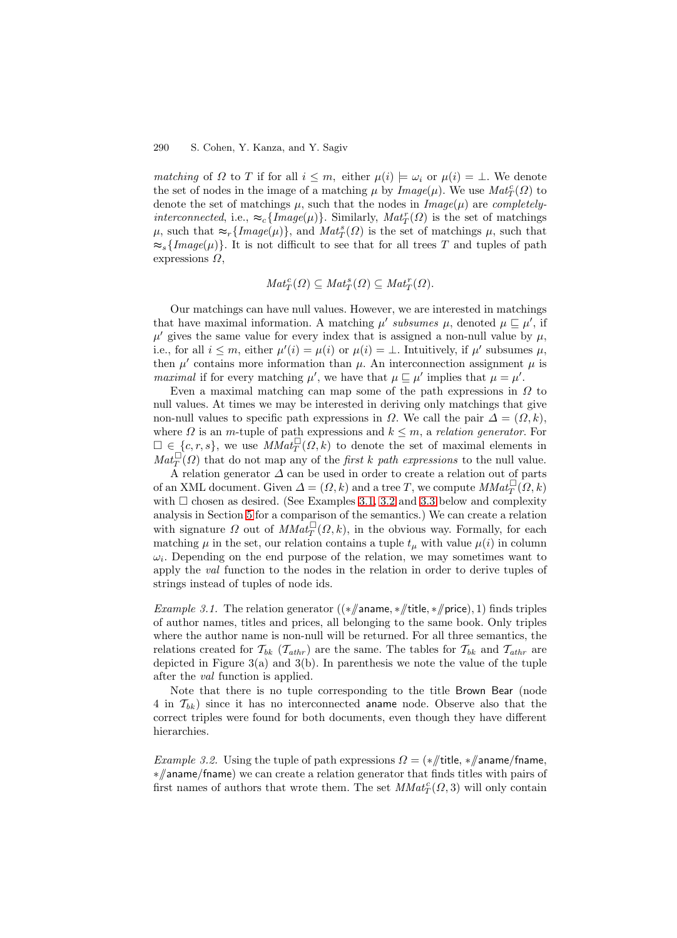*matching* of  $\Omega$  to T if for all  $i \leq m$ , either  $\mu(i) \models \omega_i$  or  $\mu(i) = \bot$ . We denote the set of nodes in the image of a matching  $\mu$  by  $Image(\mu)$ . We use  $Mat^c_T(\Omega)$  to denote the set of matchings  $\mu$ , such that the nodes in  $Image(\mu)$  are *completelyinterconnected*, i.e.,  $\approx_c \{Image(\mu)\}$ . Similarly,  $Mat^r(\Omega)$  is the set of matchings  $\mu$ , such that  $\approx_r \{Image(\mu)\}\$ , and  $Mat^s_T(\Omega)$  is the set of matchings  $\mu$ , such that  $\approx_s \{Image(\mu)\}\.$  It is not difficult to see that for all trees T and tuples of path expressions  $\Omega$ ,

$$
Mat^c_T(\Omega) \subseteq Mat^s_T(\Omega) \subseteq Mat^r_T(\Omega).
$$

Our matchings can have null values. However, we are interested in matchings that have maximal information. A matching  $\mu'$  subsumes  $\mu$ , denoted  $\mu \subseteq \mu'$ , if  $\mu'$  gives the same value for every index that is assigned a non-null value by  $\mu$ , i.e., for all  $i \leq m$ , either  $\mu'(i) = \mu(i)$  or  $\mu(i) = \bot$ . Intuitively, if  $\mu'$  subsumes  $\mu$ , then  $\mu'$  contains more information than  $\mu$ . An interconnection assignment  $\mu$  is *maximal* if for every matching  $\mu'$ , we have that  $\mu \sqsubseteq \mu'$  implies that  $\mu = \mu'$ .

Even a maximal matching can map some of the path expressions in  $\Omega$  to null values. At times we may be interested in deriving only matchings that give non-null values to specific path expressions in  $\Omega$ . We call the pair  $\Delta = (\Omega, k)$ , where  $\Omega$  is an *m*-tuple of path expressions and  $k \leq m$ , a *relation generator*. For  $\Box \in \{\varepsilon, r, s\},\$  we use  $\text{MMat}_T^{\Box}(\Omega, k)$  to denote the set of maximal elements in  $Mat_T^{\square}(\Omega)$  that do not map any of the *first* k *path expressions* to the null value.

A relation generator  $\Delta$  can be used in order to create a relation out of parts of an XML document. Given  $\Delta = (0, k)$  and a tree T, we compute  $MMat^{\square}_{T}(\Omega, k)$ with  $\Box$  chosen as desired. (See Examples 3.1, 3.2 and [3.3](#page-6-0) below and complexity analysis in Section [5](#page-7-0) for a comparison of the semantics.) We can create a relation with signature  $\Omega$  out of  $MMat_T^{\square}(\Omega,k)$ , in the obvious way. Formally, for each matching  $\mu$  in the set, our relation contains a tuple  $t_{\mu}$  with value  $\mu(i)$  in column  $\omega_i$ . Depending on the end purpose of the relation, we may sometimes want to apply the *val* function to the nodes in the relation in order to derive tuples of strings instead of tuples of node ids.

*Example 3.1.* The relation generator ((\*//aname, \*//title, \*//price), 1) finds triples of author names, titles and prices, all belonging to the same book. Only triples where the author name is non-null will be returned. For all three semantics, the relations created for  $\mathcal{T}_{bk}$  ( $\mathcal{T}_{athr}$ ) are the same. The tables for  $\mathcal{T}_{bk}$  and  $\mathcal{T}_{athr}$  are depicted in Figure 3(a) and 3(b). In parenthesis we note the value of the tuple after the *val* function is applied.

Note that there is no tuple corresponding to the title Brown Bear (node 4 in  $\mathcal{T}_{bk}$  since it has no interconnected aname node. Observe also that the correct triples were found for both documents, even though they have different hierarchies.

*Example 3.2.* Using the tuple of path expressions  $\Omega = (*/$ title, \*/aname/fname, ∗//aname/fname) we can create a relation generator that finds titles with pairs of first names of authors that wrote them. The set  $MMat^c_T(\Omega, 3)$  will only contain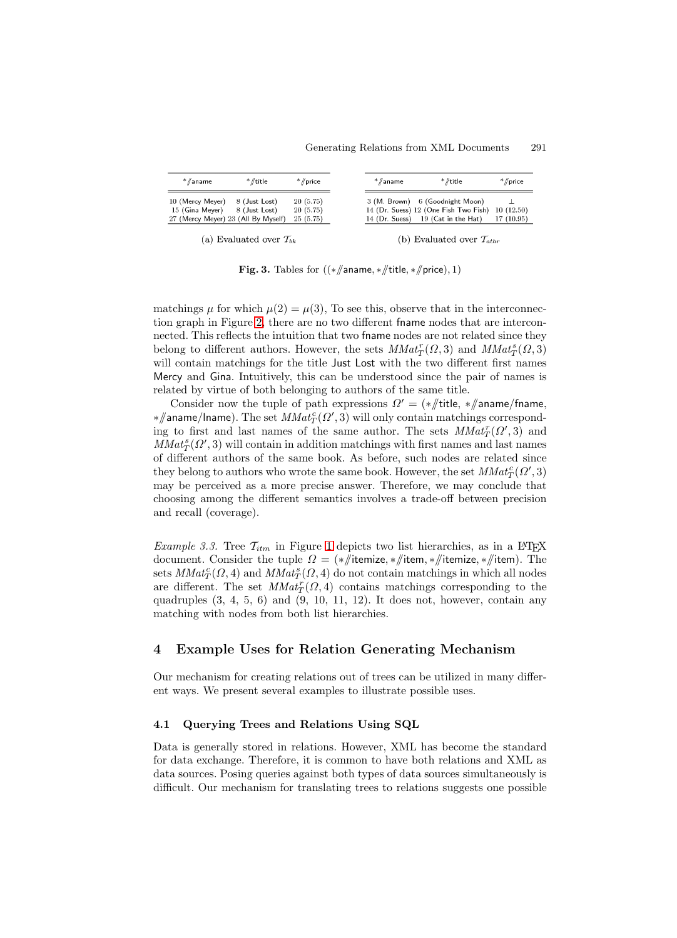<span id="page-6-0"></span>

| $*$ $/$ aname                                                              | * //title                      | $*$ // price                     | $*/\ell$ aname | *//title                                                                                                                  | $*/\gamma$ price |
|----------------------------------------------------------------------------|--------------------------------|----------------------------------|----------------|---------------------------------------------------------------------------------------------------------------------------|------------------|
| 10 (Mercy Meyer)<br>15 (Gina Meyer)<br>27 (Mercy Meyer) 23 (All By Myself) | 8 (Just Lost)<br>8 (Just Lost) | 20(5.75)<br>20(5.75)<br>25(5.75) |                | 3 (M. Brown) 6 (Goodnight Moon)<br>14 (Dr. Suess) 12 (One Fish Two Fish) 10 (12.50)<br>14 (Dr. Suess) 19 (Cat in the Hat) | 17 (10.95)       |

(a) Evaluated over  $\mathcal{T}_{bk}$ 

(b) Evaluated over  $\mathcal{T}_{athr}$ 

**Fig. 3.** Tables for  $((\sqrt[k]{a} \cdot \text{name}, \sqrt[k]{b} \cdot \text{time}, \sqrt[k]{b} \cdot \text{price}), 1)$ 

matchings  $\mu$  for which  $\mu(2) = \mu(3)$ , To see this, observe that in the interconnection graph in Figure [2,](#page-3-0) there are no two different fname nodes that are interconnected. This reflects the intuition that two fname nodes are not related since they belong to different authors. However, the sets  $MMat^r_T(\Omega,3)$  and  $MMat^s_T(\Omega,3)$ will contain matchings for the title **Just Lost** with the two different first names Mercy and Gina. Intuitively, this can be understood since the pair of names is related by virtue of both belonging to authors of the same title.

Consider now the tuple of path expressions  $\Omega' = (*\# \text{title}, *\# \text{name}/ \text{frame},$  $*/\!/$ aname/lname). The set  $\mathit{MMat}^c_T(\varOmega',3)$  will only contain matchings corresponding to first and last names of the same author. The sets  $MMat_T^r(\Omega',3)$  and  $\text{MMat}_T^s(\Omega', 3)$  will contain in addition matchings with first names and last names of different authors of the same book. As before, such nodes are related since they belong to authors who wrote the same book. However, the set  $\mathit{MMat}^c_T(\varOmega',3)$ may be perceived as a more precise answer. Therefore, we may conclude that choosing among the different semantics involves a trade-off between precision and recall (coverage).

*Example 3.3.* Tree  $\mathcal{T}_{itm}$  in Figure [1](#page-2-0) depicts two list hierarchies, as in a LAT<sub>E</sub>X document. Consider the tuple Ω = (∗//itemize, ∗//item, ∗//itemize, ∗//item). The sets  $MMat_T^c(\Omega, 4)$  and  $MMat_T^s(\Omega, 4)$  do not contain matchings in which all nodes are different. The set  $MMat_T^r(Q, 4)$  contains matchings corresponding to the quadruples  $(3, 4, 5, 6)$  and  $(9, 10, 11, 12)$ . It does not, however, contain any matching with nodes from both list hierarchies.

### **4 Example Uses for Relation Generating Mechanism**

Our mechanism for creating relations out of trees can be utilized in many different ways. We present several examples to illustrate possible uses.

#### **4.1 Querying Trees and Relations Using SQL**

Data is generally stored in relations. However, XML has become the standard for data exchange. Therefore, it is common to have both relations and XML as data sources. Posing queries against both types of data sources simultaneously is difficult. Our mechanism for translating trees to relations suggests one possible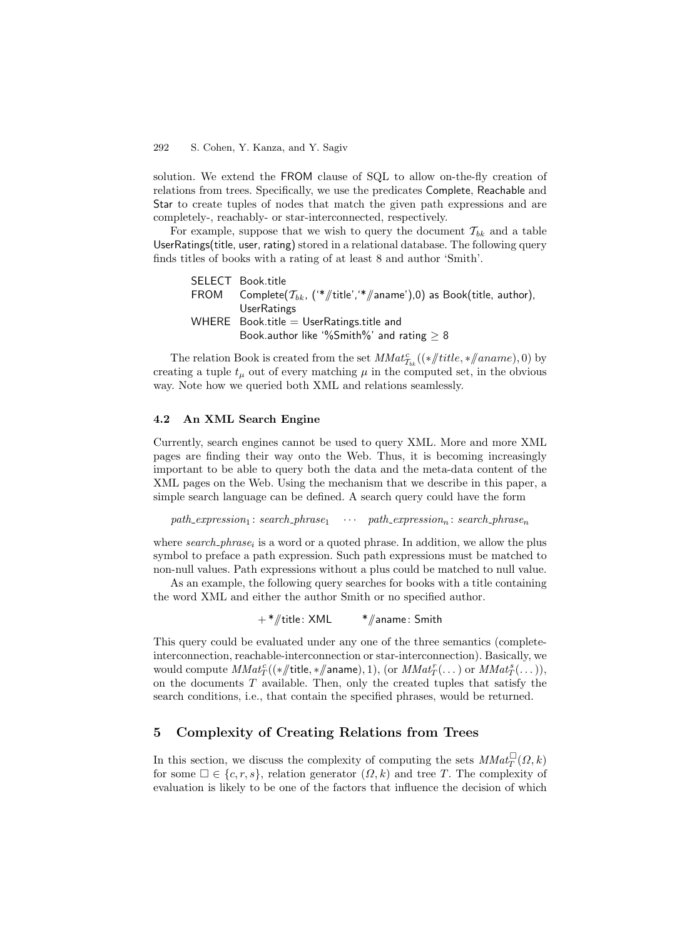<span id="page-7-0"></span>solution. We extend the FROM clause of SQL to allow on-the-fly creation of relations from trees. Specifically, we use the predicates Complete, Reachable and Star to create tuples of nodes that match the given path expressions and are completely-, reachably- or star-interconnected, respectively.

For example, suppose that we wish to query the document  $\mathcal{T}_{bk}$  and a table UserRatings(title, user, rating) stored in a relational database. The following query finds titles of books with a rating of at least 8 and author 'Smith'.

| SELECT Book.title                                                                      |
|----------------------------------------------------------------------------------------|
| FROM Complete( $\mathcal{T}_{bk}$ , ('*//title','*//aname'),0) as Book(title, author), |
| <b>UserRatings</b>                                                                     |
| $WHERE$ Book.title = UserRatings.title and                                             |
| Book author like '%Smith%' and rating $> 8$                                            |
|                                                                                        |

The relation Book is created from the set  $\textit{MMat}^c_{\mathcal{I}_{bk}}((\ast \textit{#title}, \ast \textit{#aname}), 0)$  by creating a tuple  $t_{\mu}$  out of every matching  $\mu$  in the computed set, in the obvious way. Note how we queried both XML and relations seamlessly.

### **4.2 An XML Search Engine**

Currently, search engines cannot be used to query XML. More and more XML pages are finding their way onto the Web. Thus, it is becoming increasingly important to be able to query both the data and the meta-data content of the XML pages on the Web. Using the mechanism that we describe in this paper, a simple search language can be defined. A search query could have the form

 $path\_expression_1: search\_phrase_1 \cdots path\_expression_n: search\_phrase_n$ 

where *search phrase*<sup>i</sup> is a word or a quoted phrase. In addition, we allow the plus symbol to preface a path expression. Such path expressions must be matched to non-null values. Path expressions without a plus could be matched to null value.

As an example, the following query searches for books with a title containing the word XML and either the author Smith or no specified author.

 $+$  \*//title: XML \*//aname: Smith

This query could be evaluated under any one of the three semantics (completeinterconnection, reachable-interconnection or star-interconnection). Basically, we would compute  $\mathit{MMat}_T^c((\ast\mathbin{/\!\!/}\mathrm{title},\ast\mathbin{/\!\!/}\mathrm{aname}),1),$  (or  $\mathit{MMat}_T^r(\dots)$  or  $\mathit{MMat}_T^s(\dots)),$ on the documents  $T$  available. Then, only the created tuples that satisfy the search conditions, i.e., that contain the specified phrases, would be returned.

# **5 Complexity of Creating Relations from Trees**

In this section, we discuss the complexity of computing the sets  $MMat^{\square}_{T}(\Omega,k)$ for some  $\square \in \{c, r, s\}$ , relation generator  $(\Omega, k)$  and tree T. The complexity of evaluation is likely to be one of the factors that influence the decision of which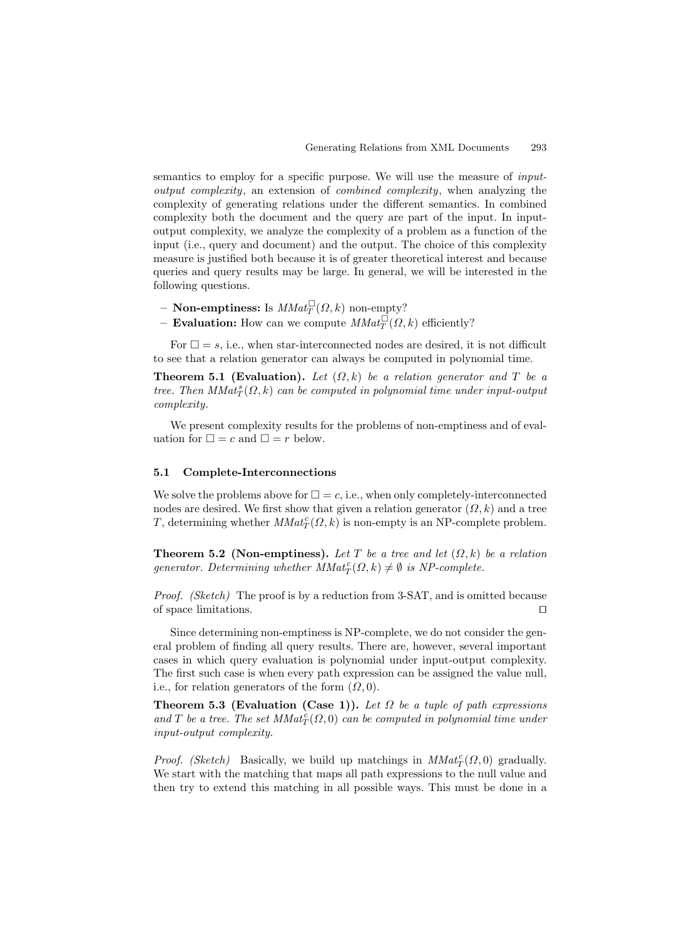<span id="page-8-0"></span>semantics to employ for a specific purpose. We will use the measure of *inputoutput complexity*, an extension of *combined complexity*, when analyzing the complexity of generating relations under the different semantics. In combined complexity both the document and the query are part of the input. In inputoutput complexity, we analyze the complexity of a problem as a function of the input (i.e., query and document) and the output. The choice of this complexity measure is justified both because it is of greater theoretical interest and because queries and query results may be large. In general, we will be interested in the following questions.

- $-$  **Non-emptiness:** Is  $MMat_T^{\square}(\Omega,k)$  non-empty?
- **Evaluation:** How can we compute  $MMat_T^{\square}(\Omega,k)$  efficiently?

For  $\square = s$ , i.e., when star-interconnected nodes are desired, it is not difficult to see that a relation generator can always be computed in polynomial time.

**Theorem 5.1 (Evaluation).** Let  $(\Omega, k)$  be a relation generator and T be a *tree. Then*  $MMat_T^s(\Omega,k)$  *can be computed in polynomial time under input-output complexity.*

We present complexity results for the problems of non-emptiness and of evaluation for  $\square = c$  and  $\square = r$  below.

#### **5.1 Complete-Interconnections**

We solve the problems above for  $\square = c$ , i.e., when only completely-interconnected nodes are desired. We first show that given a relation generator  $(\Omega, k)$  and a tree T, determining whether  $MMat_T^c(\Omega,k)$  is non-empty is an NP-complete problem.

**Theorem 5.2 (Non-emptiness).** Let T be a tree and let  $(\Omega, k)$  be a relation *generator. Determining whether*  $MMat_T^c(\Omega, k) \neq \emptyset$  *is NP-complete.* 

*Proof. (Sketch)* The proof is by a reduction from 3-SAT, and is omitted because of space limitations. 

Since determining non-emptiness is NP-complete, we do not consider the general problem of finding all query results. There are, however, several important cases in which query evaluation is polynomial under input-output complexity. The first such case is when every path expression can be assigned the value null, i.e., for relation generators of the form  $(\Omega, 0)$ .

**Theorem 5.3 (Evaluation (Case 1)).** *Let* Ω *be a tuple of path expressions* and T be a tree. The set  $MMat_{T}^{c}(0,0)$  can be computed in polynomial time under *input-output complexity.*

*Proof.* (Sketch) Basically, we build up matchings in  $MMat_T^c(\Omega, 0)$  gradually. We start with the matching that maps all path expressions to the null value and then try to extend this matching in all possible ways. This must be done in a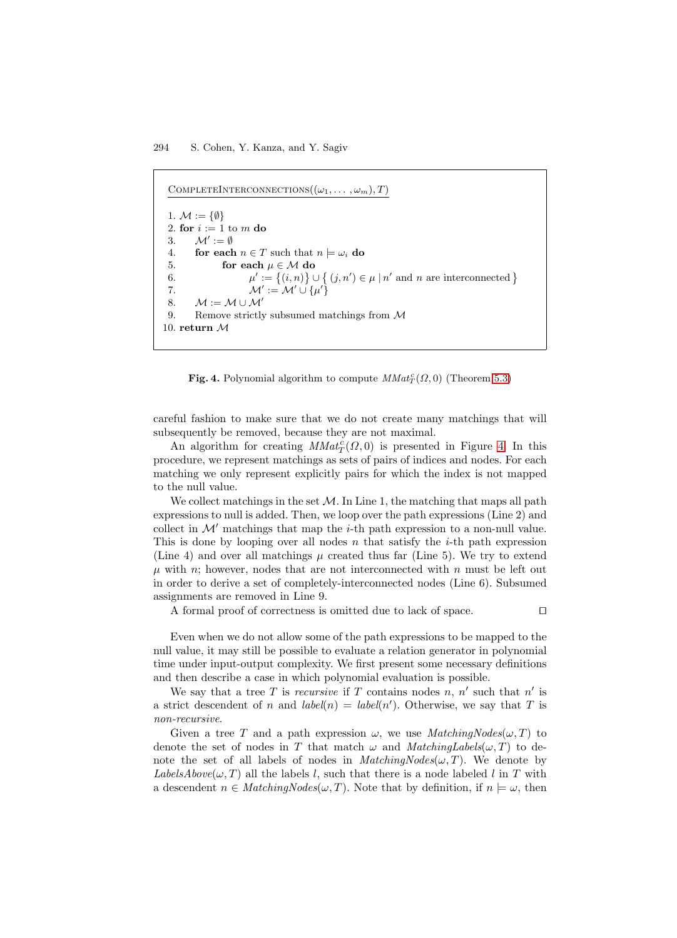COMPLETEINTERCONNECTIONS $((\omega_1,\ldots,\omega_m),T)$ 

```
1. \mathcal{M} := \{\emptyset\}2. for i := 1 to m do
 3. \mathcal{M}' := \emptyset4. for each n \in T such that n \models \omega_i do
 5. for each \mu \in \mathcal{M} do
 6. \mu' := \{(i, n)\} \cup \{(j, n') \in \mu \mid n' \text{ and } n \text{ are interconnected}\}\7. \mathcal{M}' := \mathcal{M}' \cup {\mu'}.8. \mathcal{M} := \mathcal{M} \cup \mathcal{M}'9. Remove strictly subsumed matchings from M
10. return M
```
Fig. 4. Polynomial algorithm to compute  $MMat^c(\Omega, 0)$  (Theorem [5.3\)](#page-8-0)

careful fashion to make sure that we do not create many matchings that will subsequently be removed, because they are not maximal.

An algorithm for creating  $MMat^c_T(\Omega, 0)$  is presented in Figure 4. In this procedure, we represent matchings as sets of pairs of indices and nodes. For each matching we only represent explicitly pairs for which the index is not mapped to the null value.

We collect matchings in the set  $\mathcal{M}$ . In Line 1, the matching that maps all path expressions to null is added. Then, we loop over the path expressions (Line 2) and collect in  $\mathcal{M}'$  matchings that map the *i*-th path expression to a non-null value. This is done by looping over all nodes  $n$  that satisfy the  $i$ -th path expression (Line 4) and over all matchings  $\mu$  created thus far (Line 5). We try to extend  $\mu$  with n; however, nodes that are not interconnected with n must be left out in order to derive a set of completely-interconnected nodes (Line 6). Subsumed assignments are removed in Line 9.

A formal proof of correctness is omitted due to lack of space.

Even when we do not allow some of the path expressions to be mapped to the null value, it may still be possible to evaluate a relation generator in polynomial time under input-output complexity. We first present some necessary definitions and then describe a case in which polynomial evaluation is possible.

We say that a tree  $T$  is *recursive* if  $T$  contains nodes  $n, n'$  such that  $n'$  is a strict descendent of n and  $label(n) = label(n')$ . Otherwise, we say that T is *non-recursive*.

Given a tree T and a path expression  $\omega$ , we use  $MatchingNodes(\omega, T)$  to denote the set of nodes in T that match  $\omega$  and  $MatchingLabels(\omega, T)$  to denote the set of all labels of nodes in  $MatchingNodes(\omega, T)$ . We denote by *LabelsAbove*( $\omega$ , T) all the labels l, such that there is a node labeled l in T with a descendent  $n \in MatchingNodes(\omega, T)$ . Note that by definition, if  $n \models \omega$ , then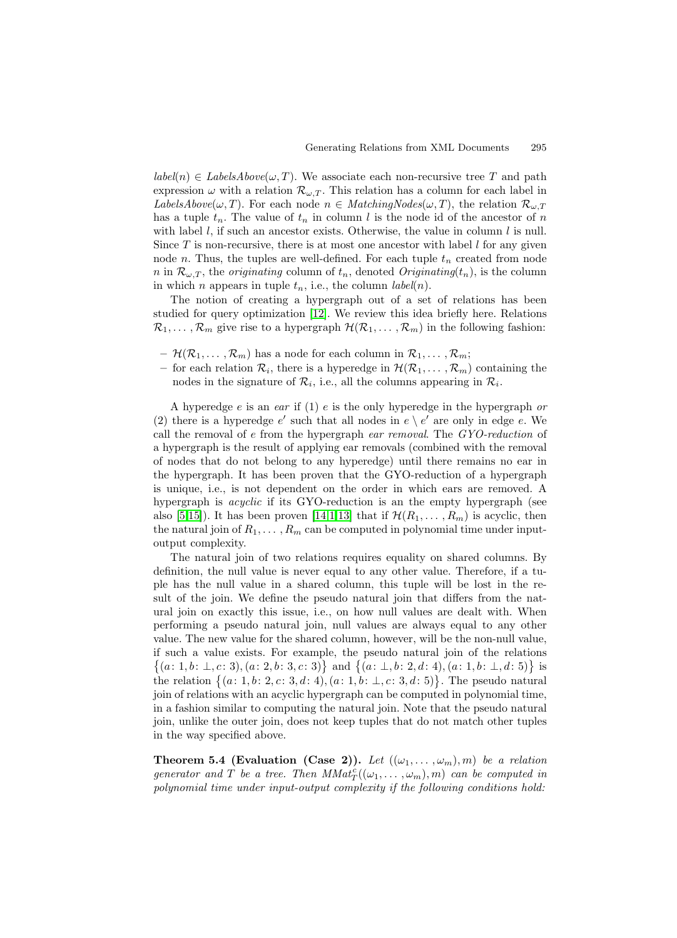<span id="page-10-0"></span> $label(n) \in \text{Label} (h) \in \text{Label} (S \cup S)$ . We associate each non-recursive tree T and path expression  $\omega$  with a relation  $\mathcal{R}_{\omega,T}$ . This relation has a column for each label in *LabelsAbove*( $\omega$ , T). For each node  $n \in \text{MatchingNodes}(\omega, T)$ , the relation  $\mathcal{R}_{\omega, T}$ has a tuple  $t_n$ . The value of  $t_n$  in column l is the node id of the ancestor of n with label  $l$ , if such an ancestor exists. Otherwise, the value in column  $l$  is null. Since T is non-recursive, there is at most one ancestor with label  $l$  for any given node n. Thus, the tuples are well-defined. For each tuple  $t_n$  created from node n in  $\mathcal{R}_{\omega,T}$ , the *originating* column of  $t_n$ , denoted *Originating* $(t_n)$ , is the column in which *n* appears in tuple  $t_n$ , i.e., the column *label* $(n)$ .

The notion of creating a hypergraph out of a set of relations has been studied for query optimization [\[12\]](#page-14-0). We review this idea briefly here. Relations  $\mathcal{R}_1,\ldots,\mathcal{R}_m$  give rise to a hypergraph  $\mathcal{H}(\mathcal{R}_1,\ldots,\mathcal{R}_m)$  in the following fashion:

- $-\mathcal{H}(\mathcal{R}_1,\ldots,\mathcal{R}_m)$  has a node for each column in  $\mathcal{R}_1,\ldots,\mathcal{R}_m;$
- for each relation  $\mathcal{R}_i$ , there is a hyperedge in  $\mathcal{H}(\mathcal{R}_1,\ldots,\mathcal{R}_m)$  containing the nodes in the signature of  $\mathcal{R}_i$ , i.e., all the columns appearing in  $\mathcal{R}_i$ .

A hyperedge e is an *ear* if (1) e is the only hyperedge in the hypergraph *or* (2) there is a hyperedge e' such that all nodes in  $e \setminus e'$  are only in edge e. We call the removal of e from the hypergraph *ear removal*. The *GYO-reduction* of a hypergraph is the result of applying ear removals (combined with the removal of nodes that do not belong to any hyperedge) until there remains no ear in the hypergraph. It has been proven that the GYO-reduction of a hypergraph is unique, i.e., is not dependent on the order in which ears are removed. A hypergraph is *acyclic* if its GYO-reduction is an the empty hypergraph (see also [\[5,15\]](#page-14-0)). It has been proven [\[14,1,13\]](#page-14-0) that if  $\mathcal{H}(R_1,\ldots,R_m)$  is acyclic, then the natural join of  $R_1, \ldots, R_m$  can be computed in polynomial time under inputoutput complexity.

The natural join of two relations requires equality on shared columns. By definition, the null value is never equal to any other value. Therefore, if a tuple has the null value in a shared column, this tuple will be lost in the result of the join. We define the pseudo natural join that differs from the natural join on exactly this issue, i.e., on how null values are dealt with. When performing a pseudo natural join, null values are always equal to any other value. The new value for the shared column, however, will be the non-null value, if such a value exists. For example, the pseudo natural join of the relations  $\{(a: 1, b: \bot, c: 3), (a: 2, b: 3, c: 3)\}\$ and  $\{(a: \bot, b: 2, d: 4), (a: 1, b: \bot, d: 5)\}\$ is the relation  $\{(a: 1, b: 2, c: 3, d: 4), (a: 1, b: \perp, c: 3, d: 5)\}.$  The pseudo natural join of relations with an acyclic hypergraph can be computed in polynomial time, in a fashion similar to computing the natural join. Note that the pseudo natural join, unlike the outer join, does not keep tuples that do not match other tuples in the way specified above.

**Theorem 5.4 (Evaluation (Case 2)).** Let  $((\omega_1, \ldots, \omega_m), m)$  be a relation generator and  $T$  be a tree. Then  $MMat_T^c((\omega_1,\ldots,\omega_m), m)$  can be computed in *polynomial time under input-output complexity if the following conditions hold:*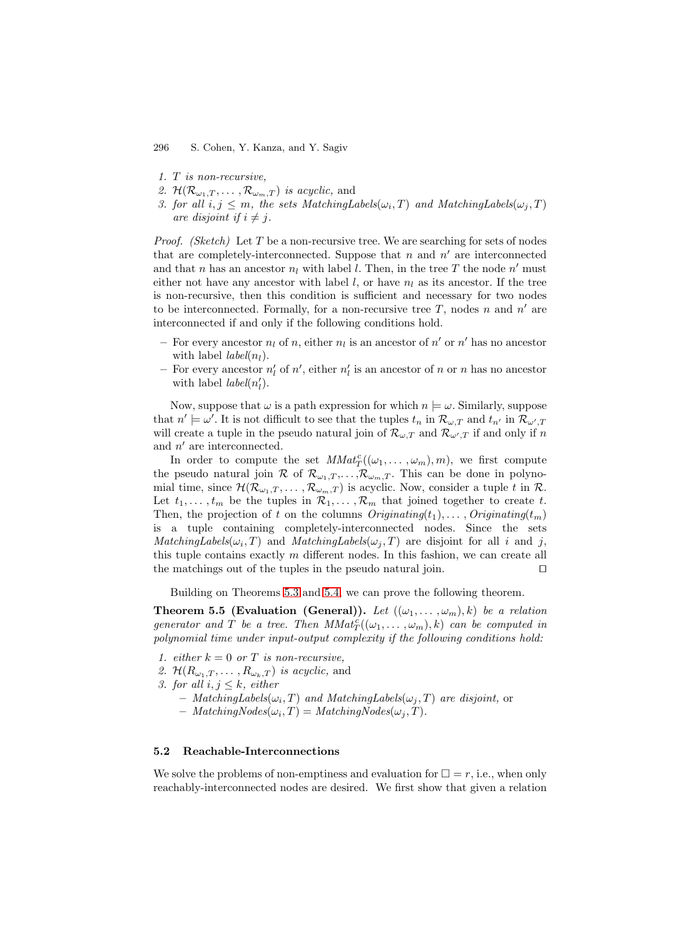- *1.* T *is non-recursive,*
- 2.  $\mathcal{H}(\mathcal{R}_{\omega_1,T},\ldots,\mathcal{R}_{\omega_m,T})$  *is acyclic*, and
- *3. for all*  $i, j \leq m$ , the sets MatchingLabels $(\omega_i, T)$  and MatchingLabels $(\omega_j, T)$ are disjoint if  $i \neq j$ .

*Proof. (Sketch)* Let T be a non-recursive tree. We are searching for sets of nodes that are completely-interconnected. Suppose that  $n$  and  $n'$  are interconnected and that n has an ancestor  $n_l$  with label l. Then, in the tree T the node  $n'$  must either not have any ancestor with label l, or have  $n_l$  as its ancestor. If the tree is non-recursive, then this condition is sufficient and necessary for two nodes to be interconnected. Formally, for a non-recursive tree  $T$ , nodes  $n$  and  $n'$  are interconnected if and only if the following conditions hold.

- $-$  For every ancestor  $n_l$  of n, either  $n_l$  is an ancestor of  $n'$  or n' has no ancestor with label  $label(n_l)$ .
- $-$  For every ancestor  $n'_l$  of  $n'$ , either  $n'_l$  is an ancestor of n or n has no ancestor with label  $label(n'_l)$ .

Now, suppose that  $\omega$  is a path expression for which  $n \models \omega$ . Similarly, suppose that  $n' \models \omega'$ . It is not difficult to see that the tuples  $t_n$  in  $\mathcal{R}_{\omega,T}$  and  $t_{n'}$  in  $\mathcal{R}_{\omega',T}$ will create a tuple in the pseudo natural join of  $\mathcal{R}_{\omega,T}$  and  $\mathcal{R}_{\omega',T}$  if and only if n and  $n'$  are interconnected.

In order to compute the set  $MMat^c_T((\omega_1,\ldots,\omega_m),m)$ , we first compute the pseudo natural join R of  $\mathcal{R}_{\omega_1,T},\ldots,\mathcal{R}_{\omega_m,T}$ . This can be done in polynomial time, since  $\mathcal{H}(\mathcal{R}_{\omega_1,T},\ldots,\mathcal{R}_{\omega_m,T})$  is acyclic. Now, consider a tuple t in  $\mathcal{R}$ . Let  $t_1, \ldots, t_m$  be the tuples in  $\mathcal{R}_1, \ldots, \mathcal{R}_m$  that joined together to create t. Then, the projection of t on the columns  $Originality(t_1), \ldots, Originaling(t_m)$ is a tuple containing completely-interconnected nodes. Since the sets  $MatchingLabels(\omega_i, T)$  and  $MatchingLabels(\omega_j, T)$  are disjoint for all i and j, this tuple contains exactly  $m$  different nodes. In this fashion, we can create all the matchings out of the tuples in the pseudo natural join. 

Building on Theorems [5.3](#page-8-0) and [5.4,](#page-10-0) we can prove the following theorem.

**Theorem 5.5 (Evaluation (General)).** Let  $((\omega_1, \ldots, \omega_m), k)$  be a relation  $generator$  and  $T$  *be a tree. Then*  $MMat_{T}^{c}((\omega_1,\ldots,\omega_m), k)$  *can be computed in polynomial time under input-output complexity if the following conditions hold:*

- *1. either*  $k = 0$  *or*  $T$  *is non-recursive,*
- 2.  $\mathcal{H}(R_{\omega_1,T},\ldots,R_{\omega_k,T})$  *is acyclic*, and
- *3. for all*  $i, j \leq k$ *, either* 
	- $\text{ MatchingLabels}(\omega_i, T) \text{ and } \text{MatchingLabels}(\omega_j, T) \text{ are disjoint, or}$
	- $-$  *MatchingNodes*( $\omega_i$ , T) = *MatchingNodes*( $\omega_j$ , T).

#### **5.2 Reachable-Interconnections**

We solve the problems of non-emptiness and evaluation for  $\square = r$ , i.e., when only reachably-interconnected nodes are desired. We first show that given a relation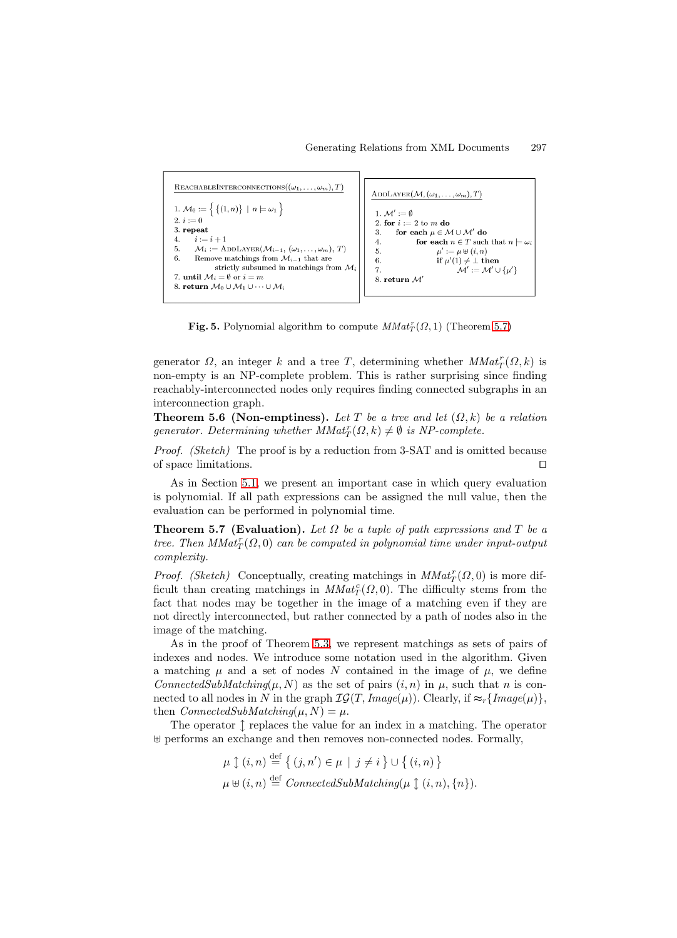<span id="page-12-0"></span>

Fig. 5. Polynomial algorithm to compute  $MMat^r(\Omega, 1)$  (Theorem 5.7)

generator  $\Omega$ , an integer k and a tree T, determining whether  $MMat_T^r(\Omega,k)$  is non-empty is an NP-complete problem. This is rather surprising since finding reachably-interconnected nodes only requires finding connected subgraphs in an interconnection graph.

**Theorem 5.6 (Non-emptiness).** Let T be a tree and let  $(\Omega, k)$  be a relation *generator. Determining whether*  $MMat_T^r(\Omega, k) \neq \emptyset$  *is NP-complete.* 

*Proof. (Sketch)* The proof is by a reduction from 3-SAT and is omitted because of space limitations. 

As in Section [5.1,](#page-8-0) we present an important case in which query evaluation is polynomial. If all path expressions can be assigned the null value, then the evaluation can be performed in polynomial time.

**Theorem 5.7 (Evaluation).** *Let* Ω *be a tuple of path expressions and* T *be a tree. Then*  $MMat_T^r(\Omega, 0)$  *can be computed in polynomial time under input-output complexity.*

*Proof.* (Sketch) Conceptually, creating matchings in  $MMat_T^r(\Omega, 0)$  is more difficult than creating matchings in  $MMat^c_T(\Omega, 0)$ . The difficulty stems from the fact that nodes may be together in the image of a matching even if they are not directly interconnected, but rather connected by a path of nodes also in the image of the matching.

As in the proof of Theorem [5.3,](#page-8-0) we represent matchings as sets of pairs of indexes and nodes. We introduce some notation used in the algorithm. Given a matching  $\mu$  and a set of nodes N contained in the image of  $\mu$ , we define *ConnectedSubMatching*( $\mu$ ,  $N$ ) as the set of pairs  $(i, n)$  in  $\mu$ , such that n is connected to all nodes in N in the graph  $IG(T, Image(\mu))$ . Clearly, if  $\approx_r \{Image(\mu)\}\,$ , then  $ConnectedSubMatching(\mu, N) = \mu$ .

The operator  $\hat{\Gamma}$  replaces the value for an index in a matching. The operator  $\uplus$  performs an exchange and then removes non-connected nodes. Formally,

$$
\mu \updownarrow (i, n) \stackrel{\text{def}}{=} \{ (j, n') \in \mu \mid j \neq i \} \cup \{ (i, n) \}
$$

$$
\mu \uplus (i, n) \stackrel{\text{def}}{=} ConnectedSubMatching(\mu \updownarrow (i, n), \{n\}).
$$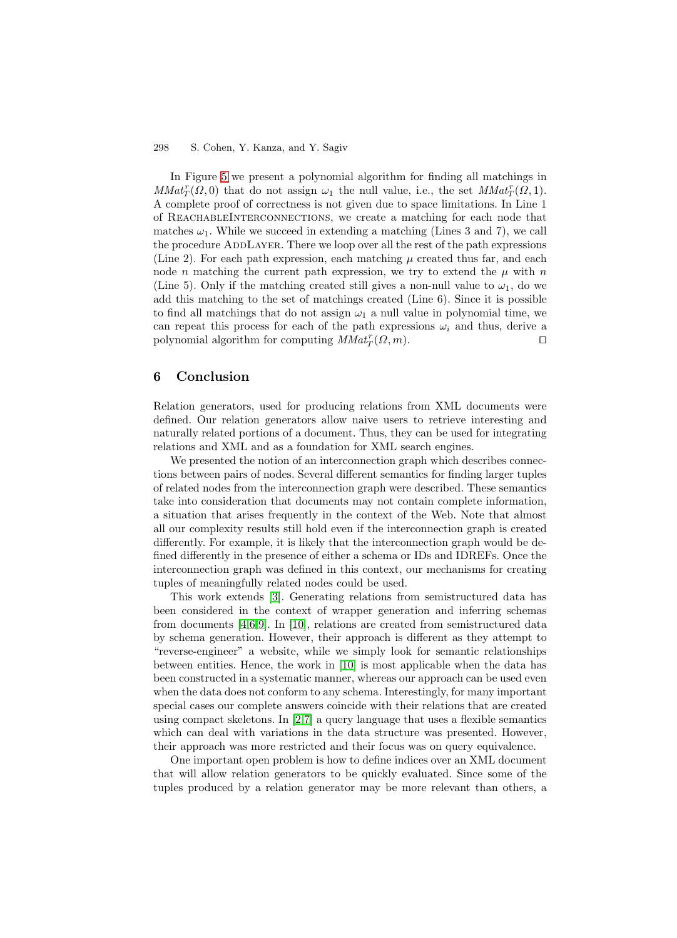<span id="page-13-0"></span>In Figure [5](#page-12-0) we present a polynomial algorithm for finding all matchings in  $MMat_T^r(\Omega,0)$  that do not assign  $\omega_1$  the null value, i.e., the set  $MMat_T^r(\Omega,1)$ . A complete proof of correctness is not given due to space limitations. In Line 1 of ReachableInterconnections, we create a matching for each node that matches  $\omega_1$ . While we succeed in extending a matching (Lines 3 and 7), we call the procedure ADDLAYER. There we loop over all the rest of the path expressions (Line 2). For each path expression, each matching  $\mu$  created thus far, and each node *n* matching the current path expression, we try to extend the  $\mu$  with *n* (Line 5). Only if the matching created still gives a non-null value to  $\omega_1$ , do we add this matching to the set of matchings created (Line 6). Since it is possible to find all matchings that do not assign  $\omega_1$  a null value in polynomial time, we can repeat this process for each of the path expressions  $\omega_i$  and thus, derive a polynomial algorithm for computing  $MMat_T^r(\Omega,m)$ .

### **6 Conclusion**

Relation generators, used for producing relations from XML documents were defined. Our relation generators allow naive users to retrieve interesting and naturally related portions of a document. Thus, they can be used for integrating relations and XML and as a foundation for XML search engines.

We presented the notion of an interconnection graph which describes connections between pairs of nodes. Several different semantics for finding larger tuples of related nodes from the interconnection graph were described. These semantics take into consideration that documents may not contain complete information, a situation that arises frequently in the context of the Web. Note that almost all our complexity results still hold even if the interconnection graph is created differently. For example, it is likely that the interconnection graph would be defined differently in the presence of either a schema or IDs and IDREFs. Once the interconnection graph was defined in this context, our mechanisms for creating tuples of meaningfully related nodes could be used.

This work extends [\[3\]](#page-14-0). Generating relations from semistructured data has been considered in the context of wrapper generation and inferring schemas from documents [\[4,6,9\]](#page-14-0). In [\[10\]](#page-14-0), relations are created from semistructured data by schema generation. However, their approach is different as they attempt to "reverse-engineer" a website, while we simply look for semantic relationships between entities. Hence, the work in [\[10\]](#page-14-0) is most applicable when the data has been constructed in a systematic manner, whereas our approach can be used even when the data does not conform to any schema. Interestingly, for many important special cases our complete answers coincide with their relations that are created using compact skeletons. In  $[2,7]$  a query language that uses a flexible semantics which can deal with variations in the data structure was presented. However, their approach was more restricted and their focus was on query equivalence.

One important open problem is how to define indices over an XML document that will allow relation generators to be quickly evaluated. Since some of the tuples produced by a relation generator may be more relevant than others, a